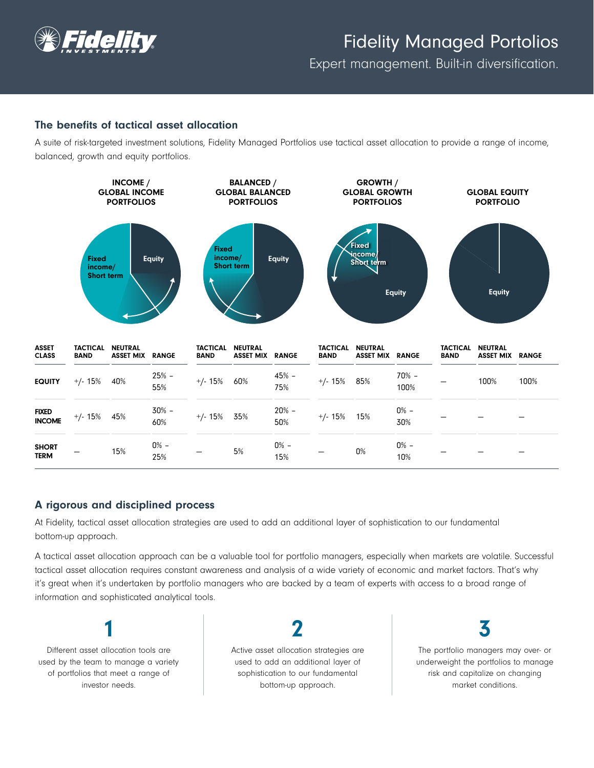

# Fidelity Managed Portolios

Expert management. Built-in diversification.

# The benefits of tactical asset allocation

A suite of risk-targeted investment solutions, Fidelity Managed Portfolios use tactical asset allocation to provide a range of income, balanced, growth and equity portfolios.



## A rigorous and disciplined process

At Fidelity, tactical asset allocation strategies are used to add an additional layer of sophistication to our fundamental bottom-up approach.

A tactical asset allocation approach can be a valuable tool for portfolio managers, especially when markets are volatile. Successful tactical asset allocation requires constant awareness and analysis of a wide variety of economic and market factors. That's why it's great when it's undertaken by portfolio managers who are backed by a team of experts with access to a broad range of information and sophisticated analytical tools.

Different asset allocation tools are used by the team to manage a variety of portfolios that meet a range of investor needs.

1

Active asset allocation strategies are used to add an additional layer of sophistication to our fundamental bottom-up approach.

2

3

The portfolio managers may over- or underweight the portfolios to manage risk and capitalize on changing market conditions.